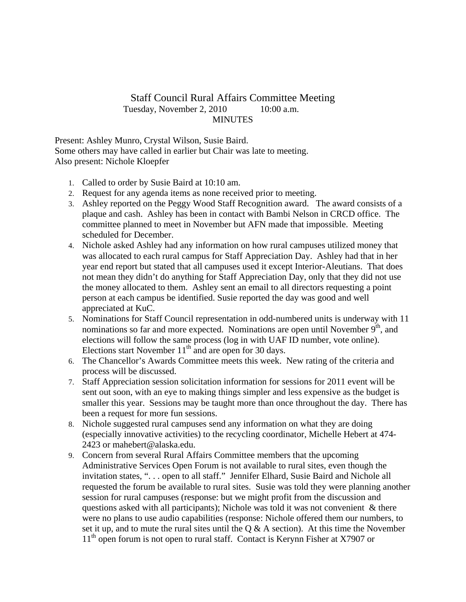## Staff Council Rural Affairs Committee Meeting Tuesday, November 2, 2010 10:00 a.m. MINUTES

Present: Ashley Munro, Crystal Wilson, Susie Baird. Some others may have called in earlier but Chair was late to meeting. Also present: Nichole Kloepfer

- 1. Called to order by Susie Baird at 10:10 am.
- 2. Request for any agenda items as none received prior to meeting.
- 3. Ashley reported on the Peggy Wood Staff Recognition award. The award consists of a plaque and cash. Ashley has been in contact with Bambi Nelson in CRCD office. The committee planned to meet in November but AFN made that impossible. Meeting scheduled for December.
- 4. Nichole asked Ashley had any information on how rural campuses utilized money that was allocated to each rural campus for Staff Appreciation Day. Ashley had that in her year end report but stated that all campuses used it except Interior-Aleutians. That does not mean they didn't do anything for Staff Appreciation Day, only that they did not use the money allocated to them. Ashley sent an email to all directors requesting a point person at each campus be identified. Susie reported the day was good and well appreciated at KuC.
- 5. Nominations for Staff Council representation in odd-numbered units is underway with 11 nominations so far and more expected. Nominations are open until November  $9<sup>th</sup>$ , and elections will follow the same process (log in with UAF ID number, vote online). Elections start November  $11<sup>th</sup>$  and are open for 30 days.
- 6. The Chancellor's Awards Committee meets this week. New rating of the criteria and process will be discussed.
- 7. Staff Appreciation session solicitation information for sessions for 2011 event will be sent out soon, with an eye to making things simpler and less expensive as the budget is smaller this year. Sessions may be taught more than once throughout the day. There has been a request for more fun sessions.
- 8. Nichole suggested rural campuses send any information on what they are doing (especially innovative activities) to the recycling coordinator, Michelle Hebert at 474- 2423 or mahebert@alaska.edu.
- 9. Concern from several Rural Affairs Committee members that the upcoming Administrative Services Open Forum is not available to rural sites, even though the invitation states, ". . . open to all staff." Jennifer Elhard, Susie Baird and Nichole all requested the forum be available to rural sites. Susie was told they were planning another session for rural campuses (response: but we might profit from the discussion and questions asked with all participants); Nichole was told it was not convenient & there were no plans to use audio capabilities (response: Nichole offered them our numbers, to set it up, and to mute the rural sites until the  $Q & A$  section). At this time the November  $11<sup>th</sup>$  open forum is not open to rural staff. Contact is Kerynn Fisher at X7907 or